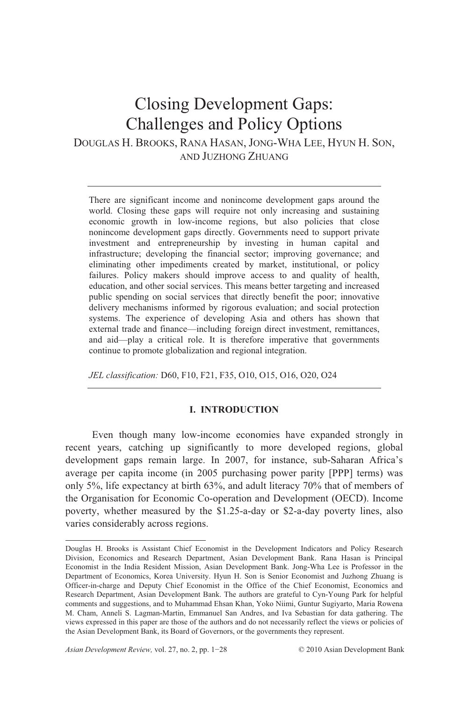# Closing Development Gaps: Challenges and Policy Options

DOUGLAS H. BROOKS, RANA HASAN, JONG-WHA LEE, HYUN H. SON, AND JUZHONG ZHUANG

There are significant income and nonincome development gaps around the world. Closing these gaps will require not only increasing and sustaining economic growth in low-income regions, but also policies that close nonincome development gaps directly. Governments need to support private investment and entrepreneurship by investing in human capital and infrastructure; developing the financial sector; improving governance; and eliminating other impediments created by market, institutional, or policy failures. Policy makers should improve access to and quality of health, education, and other social services. This means better targeting and increased public spending on social services that directly benefit the poor; innovative delivery mechanisms informed by rigorous evaluation; and social protection systems. The experience of developing Asia and others has shown that external trade and finance—including foreign direct investment, remittances, and aid—play a critical role. It is therefore imperative that governments continue to promote globalization and regional integration.

*JEL classification:* D60, F10, F21, F35, O10, O15, O16, O20, O24

# **I. INTRODUCTION**

Even though many low-income economies have expanded strongly in recent years, catching up significantly to more developed regions, global development gaps remain large. In 2007, for instance, sub-Saharan Africa's average per capita income (in 2005 purchasing power parity [PPP] terms) was only 5%, life expectancy at birth 63%, and adult literacy 70% that of members of the Organisation for Economic Co-operation and Development (OECD). Income poverty, whether measured by the \$1.25-a-day or \$2-a-day poverty lines, also varies considerably across regions.

*Asian Development Review, vol.* 27, no. 2, pp. 1-28 © 2010 Asian Development Bank

-

Douglas H. Brooks is Assistant Chief Economist in the Development Indicators and Policy Research Division, Economics and Research Department, Asian Development Bank. Rana Hasan is Principal Economist in the India Resident Mission, Asian Development Bank. Jong-Wha Lee is Professor in the Department of Economics, Korea University. Hyun H. Son is Senior Economist and Juzhong Zhuang is Officer-in-charge and Deputy Chief Economist in the Office of the Chief Economist, Economics and Research Department, Asian Development Bank. The authors are grateful to Cyn-Young Park for helpful comments and suggestions, and to Muhammad Ehsan Khan, Yoko Niimi, Guntur Sugiyarto, Maria Rowena M. Cham, Anneli S. Lagman-Martin, Emmanuel San Andres, and Iva Sebastian for data gathering. The views expressed in this paper are those of the authors and do not necessarily reflect the views or policies of the Asian Development Bank, its Board of Governors, or the governments they represent.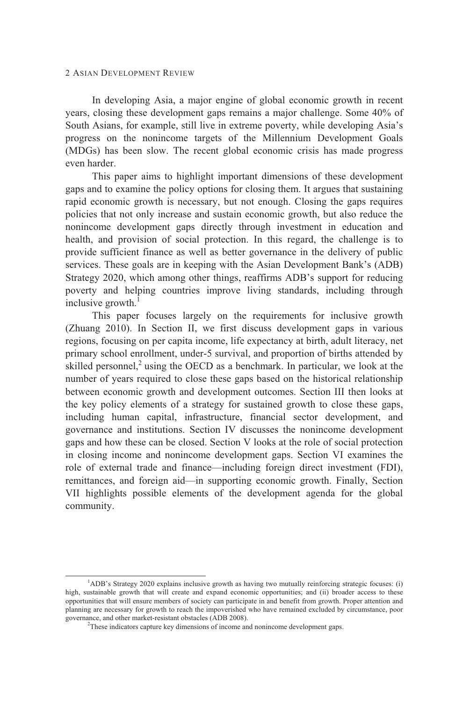In developing Asia, a major engine of global economic growth in recent years, closing these development gaps remains a major challenge. Some 40% of South Asians, for example, still live in extreme poverty, while developing Asia's progress on the nonincome targets of the Millennium Development Goals (MDGs) has been slow. The recent global economic crisis has made progress even harder.

This paper aims to highlight important dimensions of these development gaps and to examine the policy options for closing them. It argues that sustaining rapid economic growth is necessary, but not enough. Closing the gaps requires policies that not only increase and sustain economic growth, but also reduce the nonincome development gaps directly through investment in education and health, and provision of social protection. In this regard, the challenge is to provide sufficient finance as well as better governance in the delivery of public services. These goals are in keeping with the Asian Development Bank's (ADB) Strategy 2020, which among other things, reaffirms ADB's support for reducing poverty and helping countries improve living standards, including through inclusive growth. $<sup>1</sup>$ </sup>

This paper focuses largely on the requirements for inclusive growth (Zhuang 2010). In Section II, we first discuss development gaps in various regions, focusing on per capita income, life expectancy at birth, adult literacy, net primary school enrollment, under-5 survival, and proportion of births attended by skilled personnel,<sup>2</sup> using the OECD as a benchmark. In particular, we look at the number of years required to close these gaps based on the historical relationship between economic growth and development outcomes. Section III then looks at the key policy elements of a strategy for sustained growth to close these gaps, including human capital, infrastructure, financial sector development, and governance and institutions. Section IV discusses the nonincome development gaps and how these can be closed. Section V looks at the role of social protection in closing income and nonincome development gaps. Section VI examines the role of external trade and finance—including foreign direct investment (FDI), remittances, and foreign aid—in supporting economic growth. Finally, Section VII highlights possible elements of the development agenda for the global community.

 $\frac{1}{1}$ <sup>1</sup>ADB's Strategy 2020 explains inclusive growth as having two mutually reinforcing strategic focuses: (i) high, sustainable growth that will create and expand economic opportunities; and (ii) broader access to these opportunities that will ensure members of society can participate in and benefit from growth. Proper attention and planning are necessary for growth to reach the impoverished who have remained excluded by circumstance, poor governance, and other market-resistant obstacles (ADB 2008). 2

<sup>&</sup>lt;sup>2</sup>These indicators capture key dimensions of income and nonincome development gaps.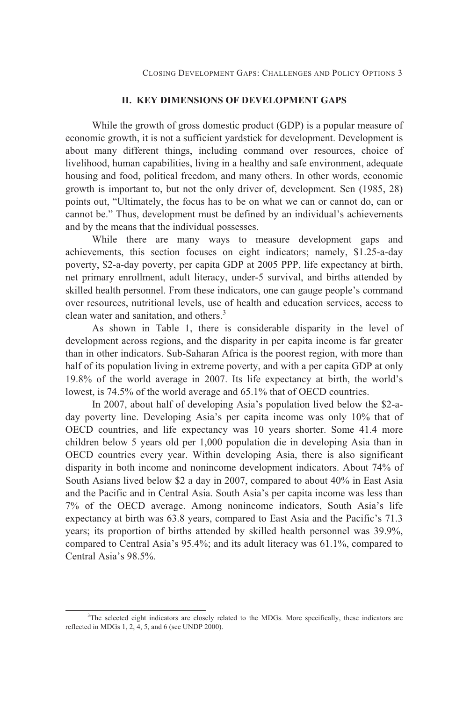# **II. KEY DIMENSIONS OF DEVELOPMENT GAPS**

While the growth of gross domestic product (GDP) is a popular measure of economic growth, it is not a sufficient yardstick for development. Development is about many different things, including command over resources, choice of livelihood, human capabilities, living in a healthy and safe environment, adequate housing and food, political freedom, and many others. In other words, economic growth is important to, but not the only driver of, development. Sen (1985, 28) points out, "Ultimately, the focus has to be on what we can or cannot do, can or cannot be." Thus, development must be defined by an individual's achievements and by the means that the individual possesses.

While there are many ways to measure development gaps and achievements, this section focuses on eight indicators; namely, \$1.25-a-day poverty, \$2-a-day poverty, per capita GDP at 2005 PPP, life expectancy at birth, net primary enrollment, adult literacy, under-5 survival, and births attended by skilled health personnel. From these indicators, one can gauge people's command over resources, nutritional levels, use of health and education services, access to clean water and sanitation, and others.<sup>3</sup>

As shown in Table 1, there is considerable disparity in the level of development across regions, and the disparity in per capita income is far greater than in other indicators. Sub-Saharan Africa is the poorest region, with more than half of its population living in extreme poverty, and with a per capita GDP at only 19.8% of the world average in 2007. Its life expectancy at birth, the world's lowest, is 74.5% of the world average and 65.1% that of OECD countries.

In 2007, about half of developing Asia's population lived below the \$2-aday poverty line. Developing Asia's per capita income was only 10% that of OECD countries, and life expectancy was 10 years shorter. Some 41.4 more children below 5 years old per 1,000 population die in developing Asia than in OECD countries every year. Within developing Asia, there is also significant disparity in both income and nonincome development indicators. About 74% of South Asians lived below \$2 a day in 2007, compared to about 40% in East Asia and the Pacific and in Central Asia. South Asia's per capita income was less than 7% of the OECD average. Among nonincome indicators, South Asia's life expectancy at birth was 63.8 years, compared to East Asia and the Pacific's 71.3 years; its proportion of births attended by skilled health personnel was 39.9%, compared to Central Asia's 95.4%; and its adult literacy was 61.1%, compared to Central Asia's 98.5%.

 $\frac{1}{3}$ <sup>3</sup>The selected eight indicators are closely related to the MDGs. More specifically, these indicators are reflected in MDGs 1, 2, 4, 5, and 6 (see UNDP 2000).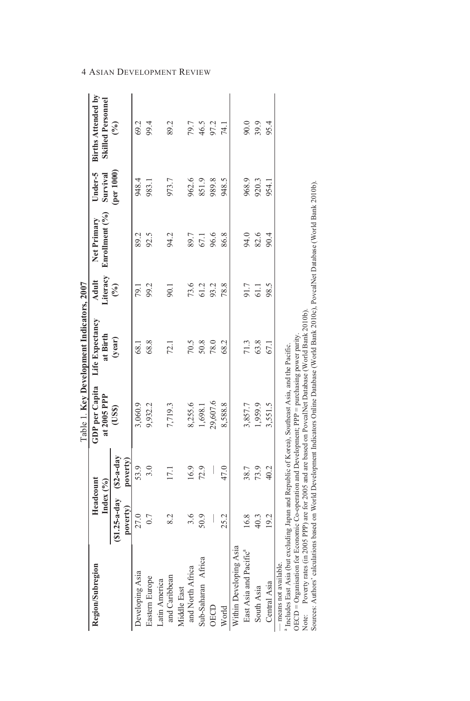| Region/Subregion                                                                                 | Headcount<br>Index $(°0)$   |                          | GDP per Capita<br>at 2005 PPP | Table 1. Key Development Indicators, 2007<br>Life Expectancy<br>at Birth | Literacy<br><b>Adult</b> | Enrollment (%)<br>Net Primary | Under-5<br>Survival | Births Attended by<br><b>Skilled Personnel</b> |
|--------------------------------------------------------------------------------------------------|-----------------------------|--------------------------|-------------------------------|--------------------------------------------------------------------------|--------------------------|-------------------------------|---------------------|------------------------------------------------|
|                                                                                                  | $(S1.25-a-day)$<br>power(y) | $(S2-a-day)$<br>poverty) | (USS)                         | (year)                                                                   | $(\%)$                   |                               | (per 1000)          | $(\%)$                                         |
| Developing Asia                                                                                  | 27.0                        | 53.9                     | 3,060.9                       | 68.1                                                                     | 79.1                     | 89.2                          | 948.4               | 69.2                                           |
| Eastern Europe                                                                                   | 0.7                         | 3.0                      | 9,932.2                       | 68.8                                                                     | 99.2                     | 92.5                          | 983.1               | 99.4                                           |
| and Caribbean<br>Latin America                                                                   | 8.2                         | 17.1                     | 7,719.3                       | 72.1                                                                     | 90.1                     | 94.2                          | 973.7               | 89.2                                           |
| and North Africa<br>Middle East                                                                  | 3.6                         | 16.9                     | 8,255.6                       | 70.5                                                                     | 73.6                     | 89.7                          | 962.6               | 79.7                                           |
| Sub-Saharan Africa                                                                               | 50.9                        | 72.9                     | 1,698.1                       | 50.8                                                                     | 61.2                     | 67.1                          | 851.9               | 46.5                                           |
| <b>OECD</b>                                                                                      |                             | $\overline{\phantom{a}}$ | 29,607.6                      | 78.0                                                                     | 93.2                     | 96.6                          | 989.8               | 97.2                                           |
| World                                                                                            | 25.2                        | 47.0                     | 8,588.8                       | 68.2                                                                     | 78.8                     | 86.8                          | 948.5               | <b>74.1</b>                                    |
| Within Developing Asia                                                                           |                             |                          |                               |                                                                          |                          |                               |                     |                                                |
| East Asia and Pacific <sup>a</sup>                                                               | 16.8                        | 38.7                     | 3,857.7                       | 71.3                                                                     | 91.7                     | 94.0                          | 968.9               | 90.0                                           |
| South Asia                                                                                       | 40.3                        | 73.9                     | 1,959.9                       | 63.8                                                                     | 61.1                     | 82.6                          | 920.3               | 39.9                                           |
| Central Asia                                                                                     | 19.2                        | 40.2                     | 3,551.5                       | 67.1                                                                     | 98.5                     | 90.4                          | 954.1               | 95.4                                           |
| means not available.                                                                             |                             |                          |                               |                                                                          |                          |                               |                     |                                                |
| Includes East Asia (but excluding Japan and Republic of Korea), Southeast Asia, and the Pacific. |                             |                          |                               |                                                                          |                          |                               |                     |                                                |
| OECD = Organisation for Economic Co-operation and Development; $PPP =$ purchasing power parity   |                             |                          |                               |                                                                          |                          |                               |                     |                                                |

Note: Poverty rates (in 2005 PPP) are for 2005 and are based on PovcalNet Database (World Bank 2010b).

Note: Poverty rates (in 2005 PPP) are for 2005 and are based on PovcalNet Database (World Bank 2010b).<br>Sources: Authors' calculations based on World Development Indicators Online Database (World Bank 2010c), PovcalNet Data Sources: Authors' calculations based on World Development Indicators Online Database (World Bank 2010c), PovcalNet Database (World Bank 2010b).

# 4 ASIAN DEVELOPMENT REVIEW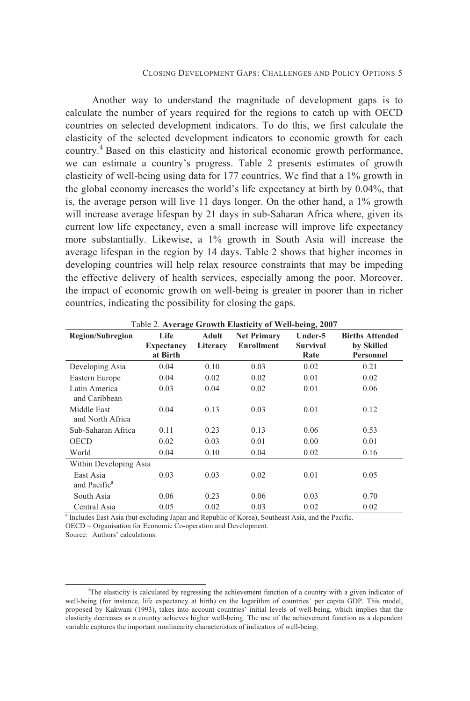Another way to understand the magnitude of development gaps is to calculate the number of years required for the regions to catch up with OECD countries on selected development indicators. To do this, we first calculate the elasticity of the selected development indicators to economic growth for each country.<sup>4</sup> Based on this elasticity and historical economic growth performance, we can estimate a country's progress. Table 2 presents estimates of growth elasticity of well-being using data for 177 countries. We find that a 1% growth in the global economy increases the world's life expectancy at birth by 0.04%, that is, the average person will live 11 days longer. On the other hand, a 1% growth will increase average lifespan by 21 days in sub-Saharan Africa where, given its current low life expectancy, even a small increase will improve life expectancy more substantially. Likewise, a 1% growth in South Asia will increase the average lifespan in the region by 14 days. Table 2 shows that higher incomes in developing countries will help relax resource constraints that may be impeding the effective delivery of health services, especially among the poor. Moreover, the impact of economic growth on well-being is greater in poorer than in richer countries, indicating the possibility for closing the gaps.

| <b>Region/Subregion</b>                                                                                       | Life                          | Adult    | <b>Net Primary</b> | Under-5                 | <b>Births Attended</b>  |
|---------------------------------------------------------------------------------------------------------------|-------------------------------|----------|--------------------|-------------------------|-------------------------|
|                                                                                                               | <b>Expectancy</b><br>at Birth | Literacy | <b>Enrollment</b>  | <b>Survival</b><br>Rate | by Skilled<br>Personnel |
| Developing Asia                                                                                               | 0.04                          | 0.10     | 0.03               | 0.02                    | 0.21                    |
| Eastern Europe                                                                                                | 0.04                          | 0.02     | 0.02               | 0.01                    | 0.02                    |
| Latin America<br>and Caribbean                                                                                | 0.03                          | 0.04     | 0.02               | 0.01                    | 0.06                    |
| Middle East<br>and North Africa                                                                               | 0.04                          | 0.13     | 0.03               | 0.01                    | 0.12                    |
| Sub-Saharan Africa                                                                                            | 0.11                          | 0.23     | 0.13               | 0.06                    | 0.53                    |
| <b>OECD</b>                                                                                                   | 0.02                          | 0.03     | 0.01               | 0.00                    | 0.01                    |
| World                                                                                                         | 0.04                          | 0.10     | 0.04               | 0.02                    | 0.16                    |
| Within Developing Asia                                                                                        |                               |          |                    |                         |                         |
| East Asia<br>and Pacific <sup>a</sup>                                                                         | 0.03                          | 0.03     | 0.02               | 0.01                    | 0.05                    |
| South Asia                                                                                                    | 0.06                          | 0.23     | 0.06               | 0.03                    | 0.70                    |
| Central Asia                                                                                                  | 0.05                          | 0.02     | 0.03               | 0.02                    | 0.02                    |
| <sup>a</sup> Includes East Asia (but excluding Japan and Republic of Korea), Southeast Asia, and the Pacific. |                               |          |                    |                         |                         |

Table 2. **Average Growth Elasticity of Well-being, 2007** 

OECD = Organisation for Economic Co-operation and Development.

Source: Authors' calculations.

 $\frac{1}{4}$ <sup>4</sup>The elasticity is calculated by regressing the achievement function of a country with a given indicator of well-being (for instance, life expectancy at birth) on the logarithm of countries' per capita GDP. This model, proposed by Kakwani (1993), takes into account countries' initial levels of well-being, which implies that the elasticity decreases as a country achieves higher well-being. The use of the achievement function as a dependent variable captures the important nonlinearity characteristics of indicators of well-being.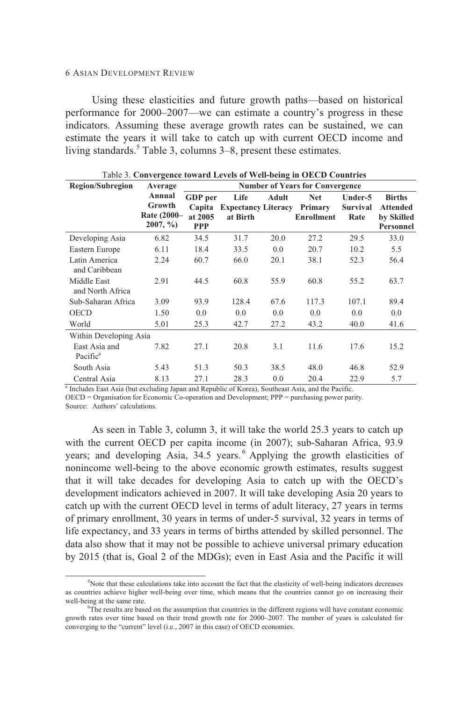Using these elasticities and future growth paths—based on historical performance for 2000–2007—we can estimate a country's progress in these indicators. Assuming these average growth rates can be sustained, we can estimate the years it will take to catch up with current OECD income and living standards.<sup>5</sup> Table 3, columns 3–8, present these estimates.

| <b>Region/Subregion</b>               | Average                                       |                                                   |                                                |       | <b>Number of Years for Convergence</b>     |                                    |                                                                    |
|---------------------------------------|-----------------------------------------------|---------------------------------------------------|------------------------------------------------|-------|--------------------------------------------|------------------------------------|--------------------------------------------------------------------|
|                                       | Annual<br>Growth<br>Rate (2000–<br>$2007, \%$ | <b>GDP</b> per<br>Capita<br>at 2005<br><b>PPP</b> | Life<br><b>Expectancy Literacy</b><br>at Birth | Adult | <b>Net</b><br>Primary<br><b>Enrollment</b> | Under-5<br><b>Survival</b><br>Rate | <b>Births</b><br><b>Attended</b><br>by Skilled<br><b>Personnel</b> |
| Developing Asia                       | 6.82                                          | 34.5                                              | 31.7                                           | 20.0  | 27.2                                       | 29.5                               | 33.0                                                               |
| Eastern Europe                        | 6.11                                          | 18.4                                              | 33.5                                           | 0.0   | 20.7                                       | 10.2                               | 5.5                                                                |
| Latin America<br>and Caribbean        | 2.24                                          | 60.7                                              | 66.0                                           | 20.1  | 38.1                                       | 52.3                               | 56.4                                                               |
| Middle East<br>and North Africa       | 2.91                                          | 44.5                                              | 60.8                                           | 55.9  | 60.8                                       | 55.2                               | 63.7                                                               |
| Sub-Saharan Africa                    | 3.09                                          | 93.9                                              | 128.4                                          | 67.6  | 117.3                                      | 107.1                              | 89.4                                                               |
| <b>OECD</b>                           | 1.50                                          | 0.0                                               | 0.0                                            | 0.0   | 0.0                                        | 0.0                                | 0.0                                                                |
| World                                 | 5.01                                          | 25.3                                              | 42.7                                           | 27.2  | 43.2                                       | 40.0                               | 41.6                                                               |
| Within Developing Asia                |                                               |                                                   |                                                |       |                                            |                                    |                                                                    |
| East Asia and<br>Pacific <sup>a</sup> | 7.82                                          | 27.1                                              | 20.8                                           | 3.1   | 11.6                                       | 17.6                               | 15.2                                                               |
| South Asia                            | 5.43                                          | 51.3                                              | 50.3                                           | 38.5  | 48.0                                       | 46.8                               | 52.9                                                               |
| Central Asia                          | 8.13                                          | 27.1                                              | 28.3                                           | 0.0   | 20.4                                       | 22.9                               | 5.7                                                                |

| Table 3. Convergence toward Levels of Well-being in OECD Countries |  |  |
|--------------------------------------------------------------------|--|--|
|                                                                    |  |  |

<sup>a</sup> Includes East Asia (but excluding Japan and Republic of Korea), Southeast Asia, and the Pacific.

OECD = Organisation for Economic Co-operation and Development; PPP = purchasing power parity.

Source: Authors' calculations.

As seen in Table 3, column 3, it will take the world 25.3 years to catch up with the current OECD per capita income (in 2007); sub-Saharan Africa, 93.9 years; and developing Asia, 34.5 years.<sup>6</sup> Applying the growth elasticities of nonincome well-being to the above economic growth estimates, results suggest that it will take decades for developing Asia to catch up with the OECD's development indicators achieved in 2007. It will take developing Asia 20 years to catch up with the current OECD level in terms of adult literacy, 27 years in terms of primary enrollment, 30 years in terms of under-5 survival, 32 years in terms of life expectancy, and 33 years in terms of births attended by skilled personnel. The data also show that it may not be possible to achieve universal primary education by 2015 (that is, Goal 2 of the MDGs); even in East Asia and the Pacific it will

 $rac{1}{\sqrt{2}}$ <sup>5</sup>Note that these calculations take into account the fact that the elasticity of well-being indicators decreases as countries achieve higher well-being over time, which means that the countries cannot go on increasing their well-being at the same rate.

 ${}^6$ The results are based on the assumption that countries in the different regions will have constant economic growth rates over time based on their trend growth rate for 2000–2007. The number of years is calculated for converging to the "current" level (i.e., 2007 in this case) of OECD economies.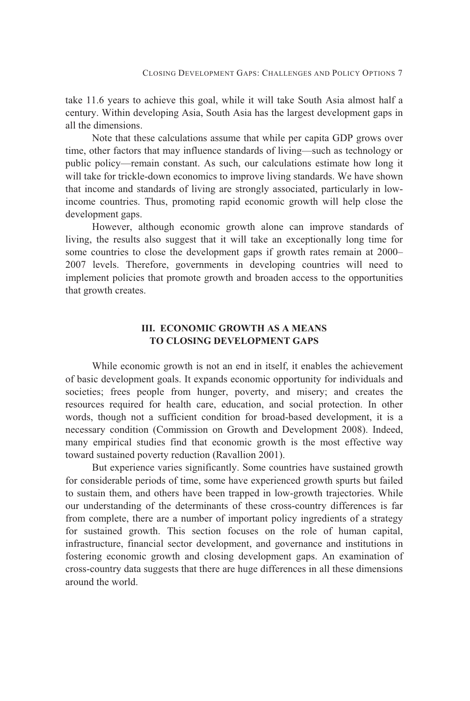take 11.6 years to achieve this goal, while it will take South Asia almost half a century. Within developing Asia, South Asia has the largest development gaps in all the dimensions.

Note that these calculations assume that while per capita GDP grows over time, other factors that may influence standards of living—such as technology or public policy—remain constant. As such, our calculations estimate how long it will take for trickle-down economics to improve living standards. We have shown that income and standards of living are strongly associated, particularly in lowincome countries. Thus, promoting rapid economic growth will help close the development gaps.

However, although economic growth alone can improve standards of living, the results also suggest that it will take an exceptionally long time for some countries to close the development gaps if growth rates remain at 2000– 2007 levels. Therefore, governments in developing countries will need to implement policies that promote growth and broaden access to the opportunities that growth creates.

# **III. ECONOMIC GROWTH AS A MEANS TO CLOSING DEVELOPMENT GAPS**

While economic growth is not an end in itself, it enables the achievement of basic development goals. It expands economic opportunity for individuals and societies; frees people from hunger, poverty, and misery; and creates the resources required for health care, education, and social protection. In other words, though not a sufficient condition for broad-based development, it is a necessary condition (Commission on Growth and Development 2008). Indeed, many empirical studies find that economic growth is the most effective way toward sustained poverty reduction (Ravallion 2001).

But experience varies significantly. Some countries have sustained growth for considerable periods of time, some have experienced growth spurts but failed to sustain them, and others have been trapped in low-growth trajectories. While our understanding of the determinants of these cross-country differences is far from complete, there are a number of important policy ingredients of a strategy for sustained growth. This section focuses on the role of human capital, infrastructure, financial sector development, and governance and institutions in fostering economic growth and closing development gaps. An examination of cross-country data suggests that there are huge differences in all these dimensions around the world.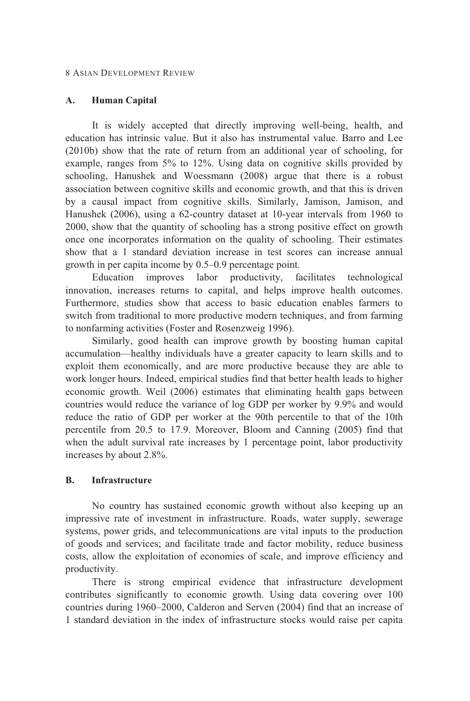# **A. Human Capital**

It is widely accepted that directly improving well-being, health, and education has intrinsic value. But it also has instrumental value. Barro and Lee (2010b) show that the rate of return from an additional year of schooling, for example, ranges from 5% to 12%. Using data on cognitive skills provided by schooling, Hanushek and Woessmann (2008) argue that there is a robust association between cognitive skills and economic growth, and that this is driven by a causal impact from cognitive skills. Similarly, Jamison, Jamison, and Hanushek (2006), using a 62-country dataset at 10-year intervals from 1960 to 2000, show that the quantity of schooling has a strong positive effect on growth once one incorporates information on the quality of schooling. Their estimates show that a 1 standard deviation increase in test scores can increase annual growth in per capita income by 0.5–0.9 percentage point.

Education improves labor productivity, facilitates technological innovation, increases returns to capital, and helps improve health outcomes. Furthermore, studies show that access to basic education enables farmers to switch from traditional to more productive modern techniques, and from farming to nonfarming activities (Foster and Rosenzweig 1996).

Similarly, good health can improve growth by boosting human capital accumulation—healthy individuals have a greater capacity to learn skills and to exploit them economically, and are more productive because they are able to work longer hours. Indeed, empirical studies find that better health leads to higher economic growth. Weil (2006) estimates that eliminating health gaps between countries would reduce the variance of log GDP per worker by 9.9% and would reduce the ratio of GDP per worker at the 90th percentile to that of the 10th percentile from 20.5 to 17.9. Moreover, Bloom and Canning (2005) find that when the adult survival rate increases by 1 percentage point, labor productivity increases by about 2.8%.

# **B. Infrastructure**

No country has sustained economic growth without also keeping up an impressive rate of investment in infrastructure. Roads, water supply, sewerage systems, power grids, and telecommunications are vital inputs to the production of goods and services; and facilitate trade and factor mobility, reduce business costs, allow the exploitation of economies of scale, and improve efficiency and productivity.

There is strong empirical evidence that infrastructure development contributes significantly to economic growth. Using data covering over 100 countries during 1960–2000, Calderon and Serven (2004) find that an increase of 1 standard deviation in the index of infrastructure stocks would raise per capita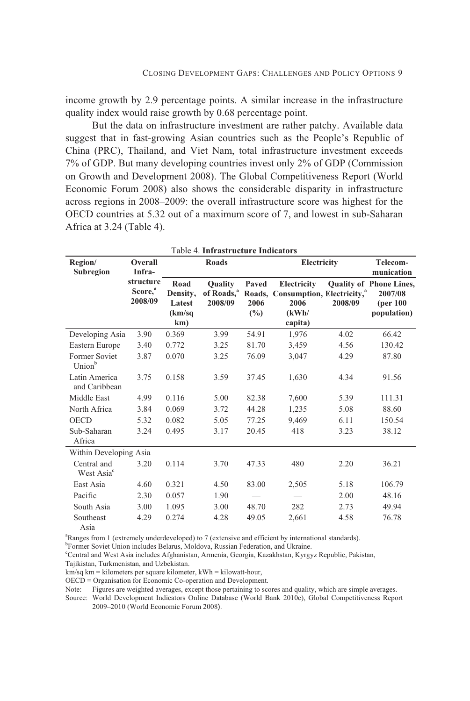income growth by 2.9 percentage points. A similar increase in the infrastructure quality index would raise growth by 0.68 percentage point.

But the data on infrastructure investment are rather patchy. Available data suggest that in fast-growing Asian countries such as the People's Republic of China (PRC), Thailand, and Viet Nam, total infrastructure investment exceeds 7% of GDP. But many developing countries invest only 2% of GDP (Commission on Growth and Development 2008). The Global Competitiveness Report (World Economic Forum 2008) also shows the considerable disparity in infrastructure across regions in 2008–2009: the overall infrastructure score was highest for the OECD countries at 5.32 out of a maximum score of 7, and lowest in sub-Saharan Africa at 3.24 (Table 4).

| Region/<br>Subregion                  | Overall<br>Infra-                           |                                              | <b>Roads</b>                                        |                      | Electricity                                                                                     |         | Telecom-<br>munication                                         |
|---------------------------------------|---------------------------------------------|----------------------------------------------|-----------------------------------------------------|----------------------|-------------------------------------------------------------------------------------------------|---------|----------------------------------------------------------------|
|                                       | structure<br>Score, <sup>a</sup><br>2008/09 | Road<br>Density,<br>Latest<br>(km/sq)<br>km) | <b>Quality</b><br>of Roads, <sup>a</sup><br>2008/09 | Paved<br>2006<br>(%) | <b>Electricity</b><br>Roads, Consumption, Electricity, <sup>a</sup><br>2006<br>(kWh/<br>capita) | 2008/09 | Quality of Phone Lines,<br>2007/08<br>(per 100)<br>population) |
| Developing Asia                       | 3.90                                        | 0.369                                        | 3.99                                                | 54.91                | 1,976                                                                                           | 4.02    | 66.42                                                          |
| Eastern Europe                        | 3.40                                        | 0.772                                        | 3.25                                                | 81.70                | 3,459                                                                                           | 4.56    | 130.42                                                         |
| Former Soviet<br>Unionb               | 3.87                                        | 0.070                                        | 3.25                                                | 76.09                | 3,047                                                                                           | 4.29    | 87.80                                                          |
| Latin America<br>and Caribbean        | 3.75                                        | 0.158                                        | 3.59                                                | 37.45                | 1,630                                                                                           | 4.34    | 91.56                                                          |
| Middle East                           | 4.99                                        | 0.116                                        | 5.00                                                | 82.38                | 7,600                                                                                           | 5.39    | 111.31                                                         |
| North Africa                          | 3.84                                        | 0.069                                        | 3.72                                                | 44.28                | 1,235                                                                                           | 5.08    | 88.60                                                          |
| <b>OECD</b>                           | 5.32                                        | 0.082                                        | 5.05                                                | 77.25                | 9.469                                                                                           | 6.11    | 150.54                                                         |
| Sub-Saharan<br>Africa                 | 3.24                                        | 0.495                                        | 3.17                                                | 20.45                | 418                                                                                             | 3.23    | 38.12                                                          |
| Within Developing Asia                |                                             |                                              |                                                     |                      |                                                                                                 |         |                                                                |
| Central and<br>West Asia <sup>c</sup> | 3.20                                        | 0.114                                        | 3.70                                                | 47.33                | 480                                                                                             | 2.20    | 36.21                                                          |
| East Asia                             | 4.60                                        | 0.321                                        | 4.50                                                | 83.00                | 2,505                                                                                           | 5.18    | 106.79                                                         |
| Pacific                               | 2.30                                        | 0.057                                        | 1.90                                                |                      |                                                                                                 | 2.00    | 48.16                                                          |
| South Asia                            | 3.00                                        | 1.095                                        | 3.00                                                | 48.70                | 282                                                                                             | 2.73    | 49.94                                                          |
| Southeast<br>Asia                     | 4.29                                        | 0.274                                        | 4.28                                                | 49.05                | 2,661                                                                                           | 4.58    | 76.78                                                          |

Table 4. **Infrastructure Indicators** 

<sup>a</sup>Ranges from 1 (extremely underdeveloped) to 7 (extensive and efficient by international standards).

<sup>b</sup>Former Soviet Union includes Belarus, Moldova, Russian Federation, and Ukraine.

c Central and West Asia includes Afghanistan, Armenia, Georgia, Kazakhstan, Kyrgyz Republic, Pakistan,

Tajikistan, Turkmenistan, and Uzbekistan.

km/sq km = kilometers per square kilometer, kWh = kilowatt-hour,

OECD = Organisation for Economic Co-operation and Development.

Note: Figures are weighted averages, except those pertaining to scores and quality, which are simple averages.

Source: World Development Indicators Online Database (World Bank 2010c), Global Competitiveness Report 2009–2010 (World Economic Forum 2008).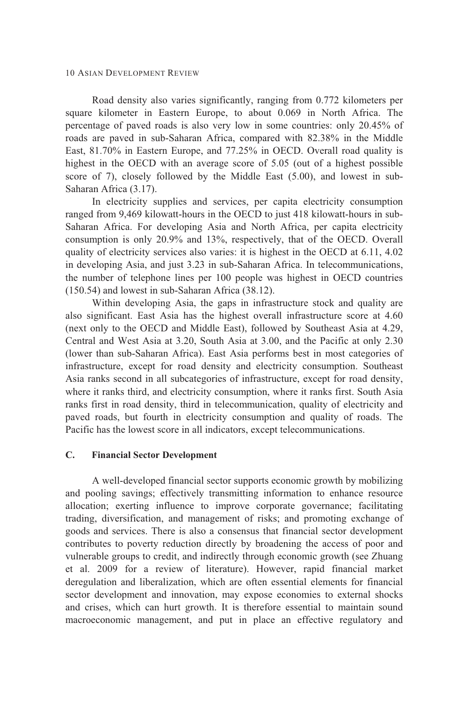Road density also varies significantly, ranging from 0.772 kilometers per square kilometer in Eastern Europe, to about 0.069 in North Africa. The percentage of paved roads is also very low in some countries: only 20.45% of roads are paved in sub-Saharan Africa, compared with 82.38% in the Middle East, 81.70% in Eastern Europe, and 77.25% in OECD. Overall road quality is highest in the OECD with an average score of 5.05 (out of a highest possible score of 7), closely followed by the Middle East (5.00), and lowest in sub-Saharan Africa (3.17).

In electricity supplies and services, per capita electricity consumption ranged from 9,469 kilowatt-hours in the OECD to just 418 kilowatt-hours in sub-Saharan Africa. For developing Asia and North Africa, per capita electricity consumption is only 20.9% and 13%, respectively, that of the OECD. Overall quality of electricity services also varies: it is highest in the OECD at 6.11, 4.02 in developing Asia, and just 3.23 in sub-Saharan Africa. In telecommunications, the number of telephone lines per 100 people was highest in OECD countries (150.54) and lowest in sub-Saharan Africa (38.12).

Within developing Asia, the gaps in infrastructure stock and quality are also significant. East Asia has the highest overall infrastructure score at 4.60 (next only to the OECD and Middle East), followed by Southeast Asia at 4.29, Central and West Asia at 3.20, South Asia at 3.00, and the Pacific at only 2.30 (lower than sub-Saharan Africa). East Asia performs best in most categories of infrastructure, except for road density and electricity consumption. Southeast Asia ranks second in all subcategories of infrastructure, except for road density, where it ranks third, and electricity consumption, where it ranks first. South Asia ranks first in road density, third in telecommunication, quality of electricity and paved roads, but fourth in electricity consumption and quality of roads. The Pacific has the lowest score in all indicators, except telecommunications.

# **C. Financial Sector Development**

A well-developed financial sector supports economic growth by mobilizing and pooling savings; effectively transmitting information to enhance resource allocation; exerting influence to improve corporate governance; facilitating trading, diversification, and management of risks; and promoting exchange of goods and services. There is also a consensus that financial sector development contributes to poverty reduction directly by broadening the access of poor and vulnerable groups to credit, and indirectly through economic growth (see Zhuang et al. 2009 for a review of literature). However, rapid financial market deregulation and liberalization, which are often essential elements for financial sector development and innovation, may expose economies to external shocks and crises, which can hurt growth. It is therefore essential to maintain sound macroeconomic management, and put in place an effective regulatory and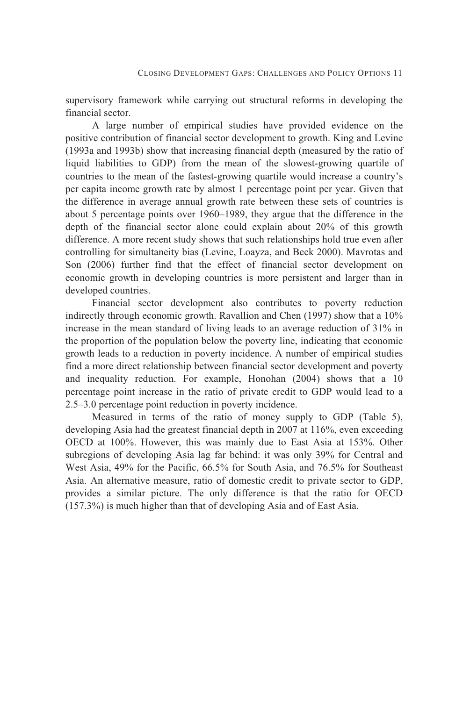supervisory framework while carrying out structural reforms in developing the financial sector.

A large number of empirical studies have provided evidence on the positive contribution of financial sector development to growth. King and Levine (1993a and 1993b) show that increasing financial depth (measured by the ratio of liquid liabilities to GDP) from the mean of the slowest-growing quartile of countries to the mean of the fastest-growing quartile would increase a country's per capita income growth rate by almost 1 percentage point per year. Given that the difference in average annual growth rate between these sets of countries is about 5 percentage points over 1960–1989, they argue that the difference in the depth of the financial sector alone could explain about 20% of this growth difference. A more recent study shows that such relationships hold true even after controlling for simultaneity bias (Levine, Loayza, and Beck 2000). Mavrotas and Son (2006) further find that the effect of financial sector development on economic growth in developing countries is more persistent and larger than in developed countries.

Financial sector development also contributes to poverty reduction indirectly through economic growth. Ravallion and Chen (1997) show that a 10% increase in the mean standard of living leads to an average reduction of 31% in the proportion of the population below the poverty line, indicating that economic growth leads to a reduction in poverty incidence. A number of empirical studies find a more direct relationship between financial sector development and poverty and inequality reduction. For example, Honohan (2004) shows that a 10 percentage point increase in the ratio of private credit to GDP would lead to a 2.5–3.0 percentage point reduction in poverty incidence.

Measured in terms of the ratio of money supply to GDP (Table 5), developing Asia had the greatest financial depth in 2007 at 116%, even exceeding OECD at 100%. However, this was mainly due to East Asia at 153%. Other subregions of developing Asia lag far behind: it was only 39% for Central and West Asia, 49% for the Pacific, 66.5% for South Asia, and 76.5% for Southeast Asia. An alternative measure, ratio of domestic credit to private sector to GDP, provides a similar picture. The only difference is that the ratio for OECD (157.3%) is much higher than that of developing Asia and of East Asia.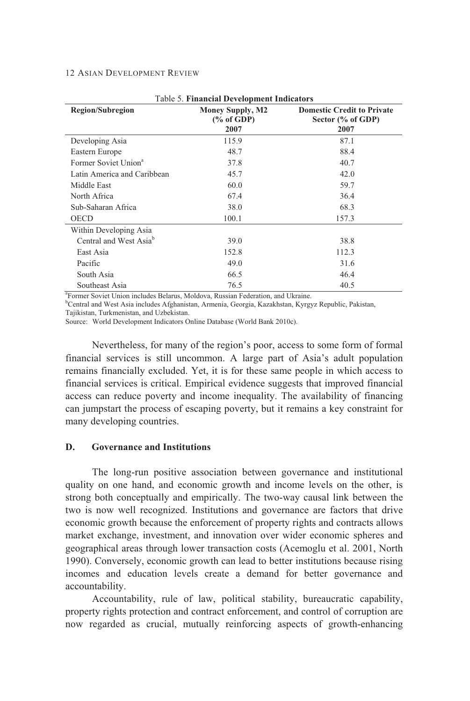|                                                                                              | <b>Table 5. Financial Development Indicators</b>         |                                                                |
|----------------------------------------------------------------------------------------------|----------------------------------------------------------|----------------------------------------------------------------|
| <b>Region/Subregion</b>                                                                      | <b>Money Supply, M2</b><br>$\frac{6}{6}$ of GDP)<br>2007 | <b>Domestic Credit to Private</b><br>Sector (% of GDP)<br>2007 |
| Developing Asia                                                                              | 115.9                                                    | 87.1                                                           |
| Eastern Europe                                                                               | 48.7                                                     | 88.4                                                           |
| Former Soviet Union <sup>a</sup>                                                             | 37.8                                                     | 40.7                                                           |
| Latin America and Caribbean                                                                  | 45.7                                                     | 42.0                                                           |
| Middle East                                                                                  | 60.0                                                     | 59.7                                                           |
| North Africa                                                                                 | 67.4                                                     | 36.4                                                           |
| Sub-Saharan Africa                                                                           | 38.0                                                     | 68.3                                                           |
| <b>OECD</b>                                                                                  | 100.1                                                    | 157.3                                                          |
| Within Developing Asia                                                                       |                                                          |                                                                |
| Central and West Asia <sup>b</sup>                                                           | 39.0                                                     | 38.8                                                           |
| East Asia                                                                                    | 152.8                                                    | 112.3                                                          |
| Pacific                                                                                      | 49.0                                                     | 31.6                                                           |
| South Asia                                                                                   | 66.5                                                     | 46.4                                                           |
| Southeast Asia                                                                               | 76.5                                                     | 40.5                                                           |
| <sup>a</sup> Former Soviet Union includes Belarus, Moldova, Russian Federation, and Ukraine. |                                                          |                                                                |

<sup>b</sup>Central and West Asia includes Afghanistan, Armenia, Georgia, Kazakhstan, Kyrgyz Republic, Pakistan,

Tajikistan, Turkmenistan, and Uzbekistan.

Source: World Development Indicators Online Database (World Bank 2010c).

Nevertheless, for many of the region's poor, access to some form of formal financial services is still uncommon. A large part of Asia's adult population remains financially excluded. Yet, it is for these same people in which access to financial services is critical. Empirical evidence suggests that improved financial access can reduce poverty and income inequality. The availability of financing can jumpstart the process of escaping poverty, but it remains a key constraint for many developing countries.

# **D. Governance and Institutions**

The long-run positive association between governance and institutional quality on one hand, and economic growth and income levels on the other, is strong both conceptually and empirically. The two-way causal link between the two is now well recognized. Institutions and governance are factors that drive economic growth because the enforcement of property rights and contracts allows market exchange, investment, and innovation over wider economic spheres and geographical areas through lower transaction costs (Acemoglu et al. 2001, North 1990). Conversely, economic growth can lead to better institutions because rising incomes and education levels create a demand for better governance and accountability.

Accountability, rule of law, political stability, bureaucratic capability, property rights protection and contract enforcement, and control of corruption are now regarded as crucial, mutually reinforcing aspects of growth-enhancing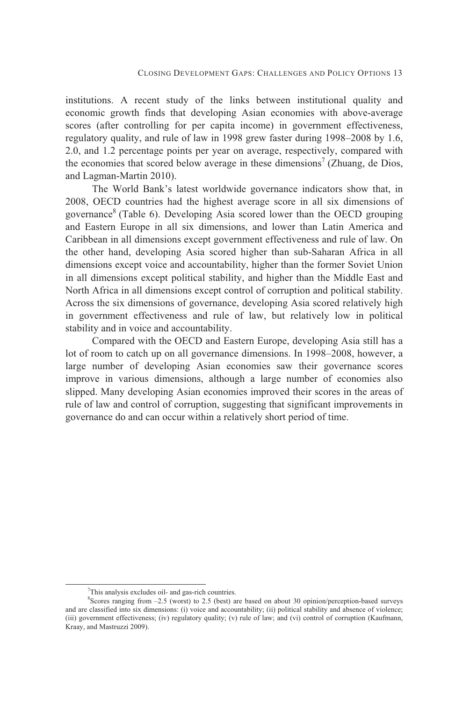institutions. A recent study of the links between institutional quality and economic growth finds that developing Asian economies with above-average scores (after controlling for per capita income) in government effectiveness, regulatory quality, and rule of law in 1998 grew faster during 1998–2008 by 1.6, 2.0, and 1.2 percentage points per year on average, respectively, compared with the economies that scored below average in these dimensions<sup>7</sup> (Zhuang, de Dios, and Lagman-Martin 2010).

The World Bank's latest worldwide governance indicators show that, in 2008, OECD countries had the highest average score in all six dimensions of governance<sup>8</sup> (Table 6). Developing Asia scored lower than the OECD grouping and Eastern Europe in all six dimensions, and lower than Latin America and Caribbean in all dimensions except government effectiveness and rule of law. On the other hand, developing Asia scored higher than sub-Saharan Africa in all dimensions except voice and accountability, higher than the former Soviet Union in all dimensions except political stability, and higher than the Middle East and North Africa in all dimensions except control of corruption and political stability. Across the six dimensions of governance, developing Asia scored relatively high in government effectiveness and rule of law, but relatively low in political stability and in voice and accountability.

Compared with the OECD and Eastern Europe, developing Asia still has a lot of room to catch up on all governance dimensions. In 1998–2008, however, a large number of developing Asian economies saw their governance scores improve in various dimensions, although a large number of economies also slipped. Many developing Asian economies improved their scores in the areas of rule of law and control of corruption, suggesting that significant improvements in governance do and can occur within a relatively short period of time.

 $\frac{1}{7}$  $7$ This analysis excludes oil- and gas-rich countries.

<sup>8</sup> Scores ranging from –2.5 (worst) to 2.5 (best) are based on about 30 opinion/perception-based surveys and are classified into six dimensions: (i) voice and accountability; (ii) political stability and absence of violence; (iii) government effectiveness; (iv) regulatory quality; (v) rule of law; and (vi) control of corruption (Kaufmann, Kraay, and Mastruzzi 2009).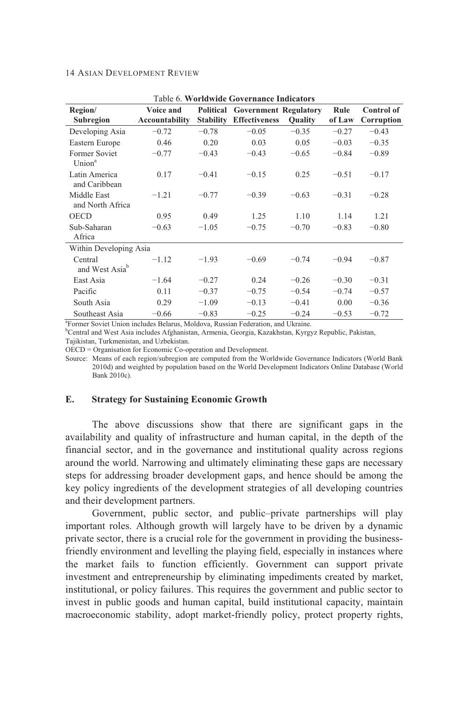|                                       |                |                  | Table 0. WOLTUWIUC GOVELHANCE INUICATOLS |         |         |            |
|---------------------------------------|----------------|------------------|------------------------------------------|---------|---------|------------|
| Region/                               | Voice and      | <b>Political</b> | <b>Government Regulatory</b>             |         | Rule    | Control of |
| <b>Subregion</b>                      | Accountability | <b>Stability</b> | <b>Effectiveness</b>                     | Quality | of Law  | Corruption |
| Developing Asia                       | $-0.72$        | $-0.78$          | $-0.05$                                  | $-0.35$ | $-0.27$ | $-0.43$    |
| Eastern Europe                        | 0.46           | 0.20             | 0.03                                     | 0.05    | $-0.03$ | $-0.35$    |
| Former Soviet<br>Union <sup>a</sup>   | $-0.77$        | $-0.43$          | $-0.43$                                  | $-0.65$ | $-0.84$ | $-0.89$    |
| Latin America<br>and Caribbean        | 0.17           | $-0.41$          | $-0.15$                                  | 0.25    | $-0.51$ | $-0.17$    |
| Middle East<br>and North Africa       | $-1.21$        | $-0.77$          | $-0.39$                                  | $-0.63$ | $-0.31$ | $-0.28$    |
| <b>OECD</b>                           | 0.95           | 0.49             | 1.25                                     | 1.10    | 1.14    | 1.21       |
| Sub-Saharan<br>Africa                 | $-0.63$        | $-1.05$          | $-0.75$                                  | $-0.70$ | $-0.83$ | $-0.80$    |
| Within Developing Asia                |                |                  |                                          |         |         |            |
| Central<br>and West Asia <sup>b</sup> | $-1.12$        | $-1.93$          | $-0.69$                                  | $-0.74$ | $-0.94$ | $-0.87$    |
| East Asia                             | $-1.64$        | $-0.27$          | 0.24                                     | $-0.26$ | $-0.30$ | $-0.31$    |
| Pacific                               | 0.11           | $-0.37$          | $-0.75$                                  | $-0.54$ | $-0.74$ | $-0.57$    |
| South Asia                            | 0.29           | $-1.09$          | $-0.13$                                  | $-0.41$ | 0.00    | $-0.36$    |
| Southeast Asia                        | $-0.66$        | $-0.83$          | $-0.25$                                  | $-0.24$ | $-0.53$ | $-0.72$    |

# Table 6. **Worldwide Governance Indicators**

a Former Soviet Union includes Belarus, Moldova, Russian Federation, and Ukraine.

<sup>b</sup>Central and West Asia includes Afghanistan, Armenia, Georgia, Kazakhstan, Kyrgyz Republic, Pakistan,

Tajikistan, Turkmenistan, and Uzbekistan.

OECD = Organisation for Economic Co-operation and Development.

Source: Means of each region/subregion are computed from the Worldwide Governance Indicators (World Bank 2010d) and weighted by population based on the World Development Indicators Online Database (World Bank 2010c).

# **E. Strategy for Sustaining Economic Growth**

The above discussions show that there are significant gaps in the availability and quality of infrastructure and human capital, in the depth of the financial sector, and in the governance and institutional quality across regions around the world. Narrowing and ultimately eliminating these gaps are necessary steps for addressing broader development gaps, and hence should be among the key policy ingredients of the development strategies of all developing countries and their development partners.

Government, public sector, and public–private partnerships will play important roles. Although growth will largely have to be driven by a dynamic private sector, there is a crucial role for the government in providing the businessfriendly environment and levelling the playing field, especially in instances where the market fails to function efficiently. Government can support private investment and entrepreneurship by eliminating impediments created by market, institutional, or policy failures. This requires the government and public sector to invest in public goods and human capital, build institutional capacity, maintain macroeconomic stability, adopt market-friendly policy, protect property rights,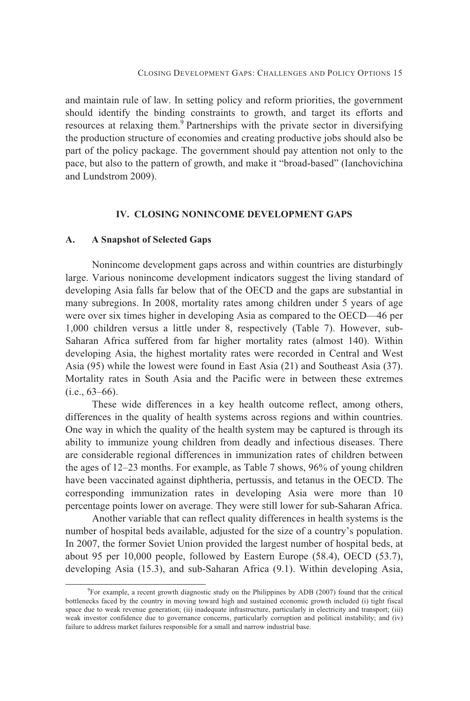and maintain rule of law. In setting policy and reform priorities, the government should identify the binding constraints to growth, and target its efforts and resources at relaxing them.<sup>9</sup> Partnerships with the private sector in diversifying the production structure of economies and creating productive jobs should also be part of the policy package. The government should pay attention not only to the pace, but also to the pattern of growth, and make it "broad-based" (Ianchovichina and Lundstrom 2009).

# **IV. CLOSING NONINCOME DEVELOPMENT GAPS**

#### **A. A Snapshot of Selected Gaps**

Nonincome development gaps across and within countries are disturbingly large. Various nonincome development indicators suggest the living standard of developing Asia falls far below that of the OECD and the gaps are substantial in many subregions. In 2008, mortality rates among children under 5 years of age were over six times higher in developing Asia as compared to the OECD—46 per 1,000 children versus a little under 8, respectively (Table 7). However, sub-Saharan Africa suffered from far higher mortality rates (almost 140). Within developing Asia, the highest mortality rates were recorded in Central and West Asia (95) while the lowest were found in East Asia (21) and Southeast Asia (37). Mortality rates in South Asia and the Pacific were in between these extremes (i.e., 63–66).

These wide differences in a key health outcome reflect, among others, differences in the quality of health systems across regions and within countries. One way in which the quality of the health system may be captured is through its ability to immunize young children from deadly and infectious diseases. There are considerable regional differences in immunization rates of children between the ages of 12–23 months. For example, as Table 7 shows, 96% of young children have been vaccinated against diphtheria, pertussis, and tetanus in the OECD. The corresponding immunization rates in developing Asia were more than 10 percentage points lower on average. They were still lower for sub-Saharan Africa.

Another variable that can reflect quality differences in health systems is the number of hospital beds available, adjusted for the size of a country's population. In 2007, the former Soviet Union provided the largest number of hospital beds, at about 95 per 10,000 people, followed by Eastern Europe (58.4), OECD (53.7), developing Asia (15.3), and sub-Saharan Africa (9.1). Within developing Asia,

 $\frac{1}{9}$ <sup>9</sup>For example, a recent growth diagnostic study on the Philippines by ADB (2007) found that the critical bottlenecks faced by the country in moving toward high and sustained economic growth included (i) tight fiscal space due to weak revenue generation; (ii) inadequate infrastructure, particularly in electricity and transport; (iii) weak investor confidence due to governance concerns, particularly corruption and political instability; and (iv) failure to address market failures responsible for a small and narrow industrial base.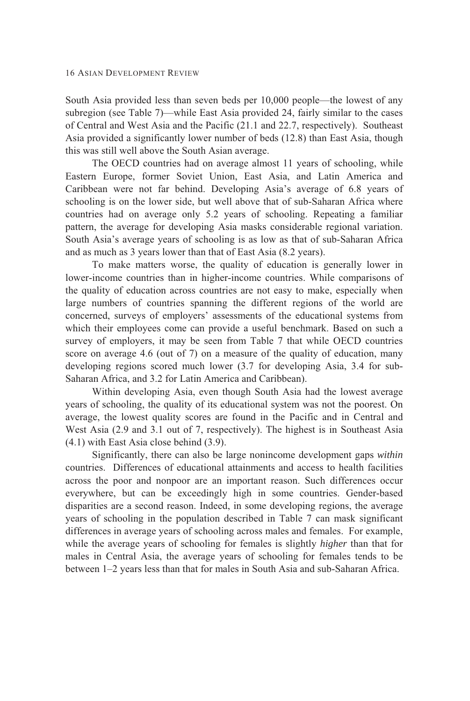South Asia provided less than seven beds per 10,000 people—the lowest of any subregion (see Table 7)—while East Asia provided 24, fairly similar to the cases of Central and West Asia and the Pacific (21.1 and 22.7, respectively). Southeast Asia provided a significantly lower number of beds (12.8) than East Asia, though this was still well above the South Asian average.

The OECD countries had on average almost 11 years of schooling, while Eastern Europe, former Soviet Union, East Asia, and Latin America and Caribbean were not far behind. Developing Asia's average of 6.8 years of schooling is on the lower side, but well above that of sub-Saharan Africa where countries had on average only 5.2 years of schooling. Repeating a familiar pattern, the average for developing Asia masks considerable regional variation. South Asia's average years of schooling is as low as that of sub-Saharan Africa and as much as 3 years lower than that of East Asia (8.2 years).

To make matters worse, the quality of education is generally lower in lower-income countries than in higher-income countries. While comparisons of the quality of education across countries are not easy to make, especially when large numbers of countries spanning the different regions of the world are concerned, surveys of employers' assessments of the educational systems from which their employees come can provide a useful benchmark. Based on such a survey of employers, it may be seen from Table 7 that while OECD countries score on average 4.6 (out of 7) on a measure of the quality of education, many developing regions scored much lower (3.7 for developing Asia, 3.4 for sub-Saharan Africa, and 3.2 for Latin America and Caribbean).

Within developing Asia, even though South Asia had the lowest average years of schooling, the quality of its educational system was not the poorest. On average, the lowest quality scores are found in the Pacific and in Central and West Asia (2.9 and 3.1 out of 7, respectively). The highest is in Southeast Asia (4.1) with East Asia close behind (3.9).

Significantly, there can also be large nonincome development gaps *within* countries. Differences of educational attainments and access to health facilities across the poor and nonpoor are an important reason. Such differences occur everywhere, but can be exceedingly high in some countries. Gender-based disparities are a second reason. Indeed, in some developing regions, the average years of schooling in the population described in Table 7 can mask significant differences in average years of schooling across males and females. For example, while the average years of schooling for females is slightly *higher* than that for males in Central Asia, the average years of schooling for females tends to be between 1–2 years less than that for males in South Asia and sub-Saharan Africa.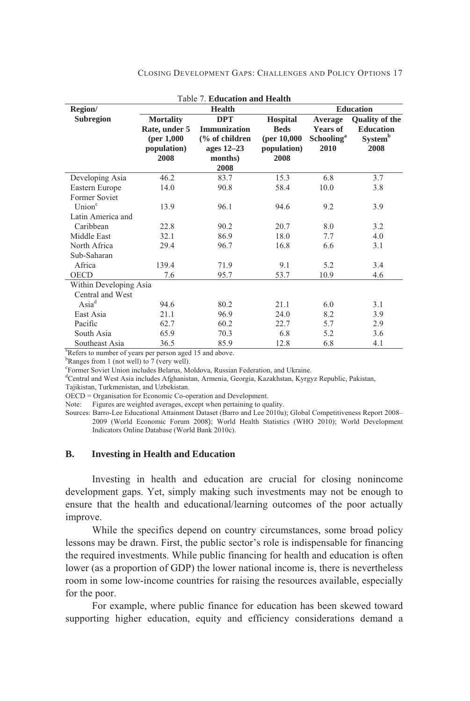|                        |                                                  | Table 7. Education and Health                                  |                                                 |                                                      |                                                                         |
|------------------------|--------------------------------------------------|----------------------------------------------------------------|-------------------------------------------------|------------------------------------------------------|-------------------------------------------------------------------------|
| Region/                |                                                  | <b>Health</b>                                                  |                                                 |                                                      | <b>Education</b>                                                        |
| <b>Subregion</b>       | <b>Mortality</b><br>Rate, under 5<br>(per 1,000) | <b>DPT</b><br><b>Immunization</b><br>$\frac{6}{6}$ of children | <b>Hospital</b><br><b>Beds</b><br>(per $10,000$ | Average<br><b>Years of</b><br>Schooling <sup>a</sup> | <b>Quality of the</b><br><b>Education</b><br><b>System</b> <sup>b</sup> |
|                        | population)                                      | ages $12-23$                                                   | population)                                     | 2010                                                 | 2008                                                                    |
|                        | 2008                                             | months)                                                        | 2008                                            |                                                      |                                                                         |
|                        |                                                  | 2008                                                           |                                                 |                                                      |                                                                         |
| Developing Asia        | 46.2                                             | 83.7                                                           | 15.3                                            | 6.8                                                  | 3.7                                                                     |
| Eastern Europe         | 14.0                                             | 90.8                                                           | 58.4                                            | 10.0                                                 | 3.8                                                                     |
| Former Soviet          |                                                  |                                                                |                                                 |                                                      |                                                                         |
| Union <sup>c</sup>     | 13.9                                             | 96.1                                                           | 94.6                                            | 9.2                                                  | 3.9                                                                     |
| Latin America and      |                                                  |                                                                |                                                 |                                                      |                                                                         |
| Caribbean              | 22.8                                             | 90.2                                                           | 20.7                                            | 8.0                                                  | 3.2                                                                     |
| Middle East            | 32.1                                             | 86.9                                                           | 18.0                                            | 7.7                                                  | 4.0                                                                     |
| North Africa           | 29.4                                             | 96.7                                                           | 16.8                                            | 6.6                                                  | 3.1                                                                     |
| Sub-Saharan            |                                                  |                                                                |                                                 |                                                      |                                                                         |
| Africa                 | 139.4                                            | 71.9                                                           | 9.1                                             | 5.2                                                  | 3.4                                                                     |
| <b>OECD</b>            | 7.6                                              | 95.7                                                           | 53.7                                            | 10.9                                                 | 4.6                                                                     |
| Within Developing Asia |                                                  |                                                                |                                                 |                                                      |                                                                         |
| Central and West       |                                                  |                                                                |                                                 |                                                      |                                                                         |
| Asia <sup>d</sup>      | 94.6                                             | 80.2                                                           | 21.1                                            | 6.0                                                  | 3.1                                                                     |
| East Asia              | 21.1                                             | 96.9                                                           | 24.0                                            | 8.2                                                  | 3.9                                                                     |
| Pacific                | 62.7                                             | 60.2                                                           | 22.7                                            | 5.7                                                  | 2.9                                                                     |
| South Asia             | 65.9                                             | 70.3                                                           | 6.8                                             | 5.2                                                  | 3.6                                                                     |
| Southeast Asia         | 36.5                                             | 85.9                                                           | 12.8                                            | 6.8                                                  | 4.1                                                                     |

Table 7. **Education and Health** 

<sup>a</sup>Refers to number of years per person aged 15 and above.

<sup>b</sup>Ranges from 1 (not well) to 7 (very well).

c Former Soviet Union includes Belarus, Moldova, Russian Federation, and Ukraine.

d Central and West Asia includes Afghanistan, Armenia, Georgia, Kazakhstan, Kyrgyz Republic, Pakistan,

Tajikistan, Turkmenistan, and Uzbekistan.

OECD = Organisation for Economic Co-operation and Development.

Note: Figures are weighted averages, except when pertaining to quality.

Sources: Barro-Lee Educational Attainment Dataset (Barro and Lee 2010a); Global Competitiveness Report 2008– 2009 (World Economic Forum 2008); World Health Statistics (WHO 2010); World Development Indicators Online Database (World Bank 2010c).

# **B. Investing in Health and Education**

Investing in health and education are crucial for closing nonincome development gaps. Yet, simply making such investments may not be enough to ensure that the health and educational/learning outcomes of the poor actually improve.

While the specifics depend on country circumstances, some broad policy lessons may be drawn. First, the public sector's role is indispensable for financing the required investments. While public financing for health and education is often lower (as a proportion of GDP) the lower national income is, there is nevertheless room in some low-income countries for raising the resources available, especially for the poor.

For example, where public finance for education has been skewed toward supporting higher education, equity and efficiency considerations demand a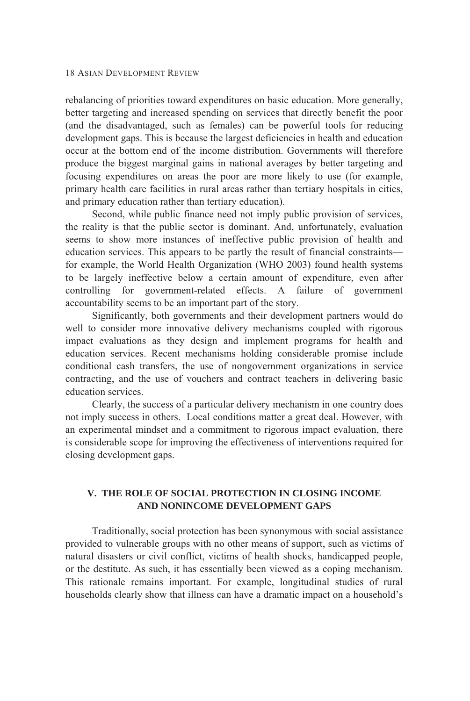rebalancing of priorities toward expenditures on basic education. More generally, better targeting and increased spending on services that directly benefit the poor (and the disadvantaged, such as females) can be powerful tools for reducing development gaps. This is because the largest deficiencies in health and education occur at the bottom end of the income distribution. Governments will therefore produce the biggest marginal gains in national averages by better targeting and focusing expenditures on areas the poor are more likely to use (for example, primary health care facilities in rural areas rather than tertiary hospitals in cities, and primary education rather than tertiary education).

Second, while public finance need not imply public provision of services, the reality is that the public sector is dominant. And, unfortunately, evaluation seems to show more instances of ineffective public provision of health and education services. This appears to be partly the result of financial constraints for example, the World Health Organization (WHO 2003) found health systems to be largely ineffective below a certain amount of expenditure, even after controlling for government-related effects. A failure of government accountability seems to be an important part of the story.

Significantly, both governments and their development partners would do well to consider more innovative delivery mechanisms coupled with rigorous impact evaluations as they design and implement programs for health and education services. Recent mechanisms holding considerable promise include conditional cash transfers, the use of nongovernment organizations in service contracting, and the use of vouchers and contract teachers in delivering basic education services.

Clearly, the success of a particular delivery mechanism in one country does not imply success in others. Local conditions matter a great deal. However, with an experimental mindset and a commitment to rigorous impact evaluation, there is considerable scope for improving the effectiveness of interventions required for closing development gaps.

# **V. THE ROLE OF SOCIAL PROTECTION IN CLOSING INCOME AND NONINCOME DEVELOPMENT GAPS**

Traditionally, social protection has been synonymous with social assistance provided to vulnerable groups with no other means of support, such as victims of natural disasters or civil conflict, victims of health shocks, handicapped people, or the destitute. As such, it has essentially been viewed as a coping mechanism. This rationale remains important. For example, longitudinal studies of rural households clearly show that illness can have a dramatic impact on a household's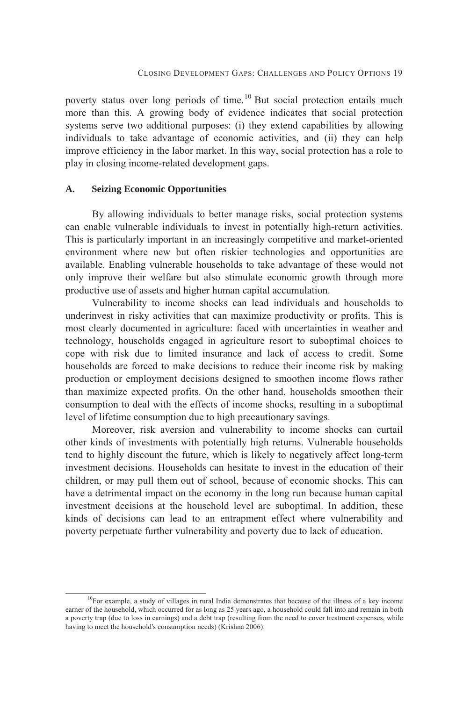poverty status over long periods of time.<sup>10</sup> But social protection entails much more than this. A growing body of evidence indicates that social protection systems serve two additional purposes: (i) they extend capabilities by allowing individuals to take advantage of economic activities, and (ii) they can help improve efficiency in the labor market. In this way, social protection has a role to play in closing income-related development gaps.

# **A. Seizing Economic Opportunities**

By allowing individuals to better manage risks, social protection systems can enable vulnerable individuals to invest in potentially high-return activities. This is particularly important in an increasingly competitive and market-oriented environment where new but often riskier technologies and opportunities are available. Enabling vulnerable households to take advantage of these would not only improve their welfare but also stimulate economic growth through more productive use of assets and higher human capital accumulation.

Vulnerability to income shocks can lead individuals and households to underinvest in risky activities that can maximize productivity or profits. This is most clearly documented in agriculture: faced with uncertainties in weather and technology, households engaged in agriculture resort to suboptimal choices to cope with risk due to limited insurance and lack of access to credit. Some households are forced to make decisions to reduce their income risk by making production or employment decisions designed to smoothen income flows rather than maximize expected profits. On the other hand, households smoothen their consumption to deal with the effects of income shocks, resulting in a suboptimal level of lifetime consumption due to high precautionary savings.

Moreover, risk aversion and vulnerability to income shocks can curtail other kinds of investments with potentially high returns. Vulnerable households tend to highly discount the future, which is likely to negatively affect long-term investment decisions. Households can hesitate to invest in the education of their children, or may pull them out of school, because of economic shocks. This can have a detrimental impact on the economy in the long run because human capital investment decisions at the household level are suboptimal. In addition, these kinds of decisions can lead to an entrapment effect where vulnerability and poverty perpetuate further vulnerability and poverty due to lack of education.

 $10$ For example, a study of villages in rural India demonstrates that because of the illness of a key income earner of the household, which occurred for as long as 25 years ago, a household could fall into and remain in both a poverty trap (due to loss in earnings) and a debt trap (resulting from the need to cover treatment expenses, while having to meet the household's consumption needs) (Krishna 2006).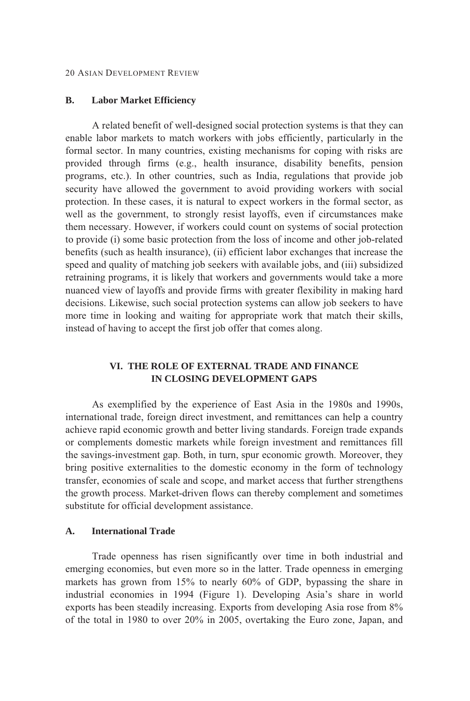# **B. Labor Market Efficiency**

A related benefit of well-designed social protection systems is that they can enable labor markets to match workers with jobs efficiently, particularly in the formal sector. In many countries, existing mechanisms for coping with risks are provided through firms (e.g., health insurance, disability benefits, pension programs, etc.). In other countries, such as India, regulations that provide job security have allowed the government to avoid providing workers with social protection. In these cases, it is natural to expect workers in the formal sector, as well as the government, to strongly resist layoffs, even if circumstances make them necessary. However, if workers could count on systems of social protection to provide (i) some basic protection from the loss of income and other job-related benefits (such as health insurance), (ii) efficient labor exchanges that increase the speed and quality of matching job seekers with available jobs, and (iii) subsidized retraining programs, it is likely that workers and governments would take a more nuanced view of layoffs and provide firms with greater flexibility in making hard decisions. Likewise, such social protection systems can allow job seekers to have more time in looking and waiting for appropriate work that match their skills, instead of having to accept the first job offer that comes along.

# **VI. THE ROLE OF EXTERNAL TRADE AND FINANCE IN CLOSING DEVELOPMENT GAPS**

As exemplified by the experience of East Asia in the 1980s and 1990s, international trade, foreign direct investment, and remittances can help a country achieve rapid economic growth and better living standards. Foreign trade expands or complements domestic markets while foreign investment and remittances fill the savings-investment gap. Both, in turn, spur economic growth. Moreover, they bring positive externalities to the domestic economy in the form of technology transfer, economies of scale and scope, and market access that further strengthens the growth process. Market-driven flows can thereby complement and sometimes substitute for official development assistance.

# **A. International Trade**

Trade openness has risen significantly over time in both industrial and emerging economies, but even more so in the latter. Trade openness in emerging markets has grown from 15% to nearly 60% of GDP, bypassing the share in industrial economies in 1994 (Figure 1). Developing Asia's share in world exports has been steadily increasing. Exports from developing Asia rose from 8% of the total in 1980 to over 20% in 2005, overtaking the Euro zone, Japan, and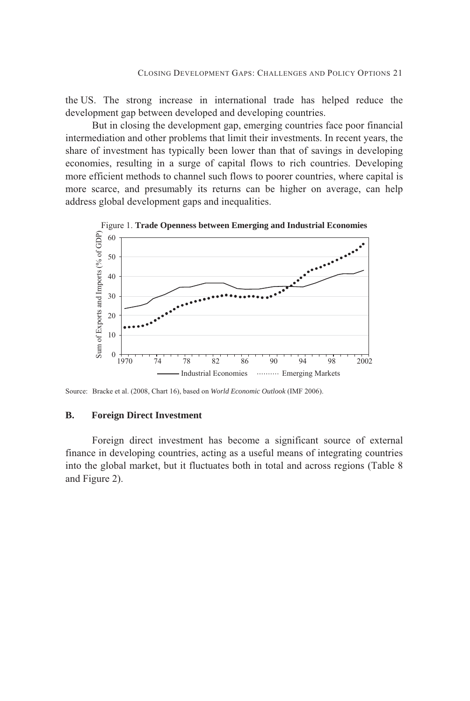the US. The strong increase in international trade has helped reduce the development gap between developed and developing countries.

But in closing the development gap, emerging countries face poor financial intermediation and other problems that limit their investments. In recent years, the share of investment has typically been lower than that of savings in developing economies, resulting in a surge of capital flows to rich countries. Developing more efficient methods to channel such flows to poorer countries, where capital is more scarce, and presumably its returns can be higher on average, can help address global development gaps and inequalities.



Source: Bracke et al. (2008, Chart 16), based on *World Economic Outlook* (IMF 2006).

# **B. Foreign Direct Investment**

Foreign direct investment has become a significant source of external finance in developing countries, acting as a useful means of integrating countries into the global market, but it fluctuates both in total and across regions (Table 8 and Figure 2).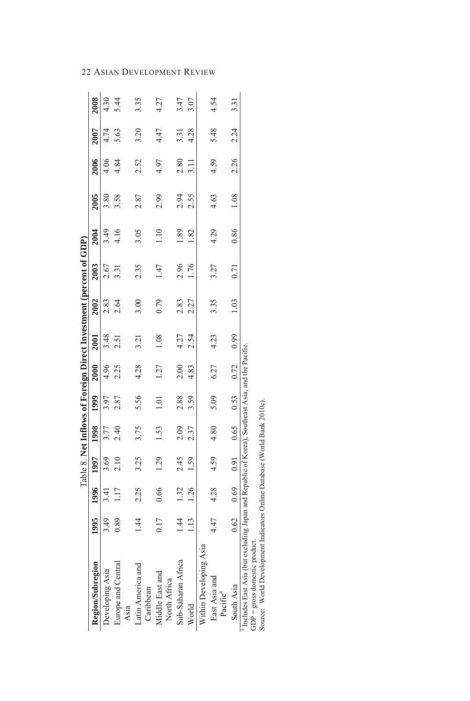|                                                                                                                                                                                                                            |           |      |               |      |       |      |      |      | Table 8. Net Inflows of Foreign Direct Investment (percent of GDP) |      |      |      |      |      |
|----------------------------------------------------------------------------------------------------------------------------------------------------------------------------------------------------------------------------|-----------|------|---------------|------|-------|------|------|------|--------------------------------------------------------------------|------|------|------|------|------|
| Region/Subregion                                                                                                                                                                                                           | 995       | 1996 | 1997          | 1998 | 1999  | 2000 | 2001 | 2002 | 2003                                                               | 2004 | 2005 | 2006 | 2007 | 2008 |
| <b>Developing Asia</b>                                                                                                                                                                                                     | 3.49      | 3.41 | 3.69          | 3.77 | 3.97  | 4.96 | 3.48 | 2.83 | 2.67                                                               | 3.49 | 3.80 | 4.06 | 4.74 | 4.30 |
| Europe and Central<br>Asia                                                                                                                                                                                                 | 0.89      | 1.17 | 2.10          | 2.40 | 2.87  | 2.25 | 2.51 | 2.64 | 3.31                                                               | 4.16 | 3.58 | 4.84 | 5.63 | 5.44 |
| Latin America and<br>Caribbean                                                                                                                                                                                             | 1.44      | 2.25 | 3.25          | 3.75 | 5.56  | 4.28 | 3.21 | 3.00 | 2.35                                                               | 3.05 | 2.87 | 2.52 | 3.20 | 3.35 |
| Middle East and<br>North Africa                                                                                                                                                                                            | 0.17      | 0.66 | 1.29          | 1.53 | $\Xi$ | 1.27 | 1.08 | 0.79 | 1.47                                                               | 1.10 | 2.99 | 4.97 | 4.47 | 4.27 |
| Sub-Saharan Africa                                                                                                                                                                                                         | $\dot{4}$ | 1.32 | 2.45          | 2.09 | 2.88  | 2.00 | 4.27 | 2.83 | 2.96                                                               | 1.89 | 2.94 | 2.80 | 3.31 | 3.47 |
| World                                                                                                                                                                                                                      | 1.13      | 1.26 | 1.59          | 2.37 | 3.59  | 4.83 | 2.54 | 2.27 | 1.76                                                               | 1.82 | 2.55 | 3.11 | 4.28 | 3.07 |
| Within Developing Asia                                                                                                                                                                                                     |           |      |               |      |       |      |      |      |                                                                    |      |      |      |      |      |
| East Asia and<br>Pacific <sup>a</sup>                                                                                                                                                                                      | 4.47      | 4.28 | 4.59          | 4.80 | 5.09  | 6.27 | 4.23 | 3.35 | 3.27                                                               | 4.29 | 4.63 | 4.59 | 5.48 | 4.54 |
| South Asia                                                                                                                                                                                                                 | 0.62      |      | $0.69$ $0.91$ | 0.65 | 0.53  | 0.72 | 0.99 | 1.03 | 0.71                                                               | 0.86 | 1.08 | 2.26 | 2.24 | 3.31 |
| <sup>a</sup> Includes East Asia (but excluding Japan and Republic of Korea), Southeast Asia, and the Pacific.<br>Source: World Development Indicators Online Database (World Bank 2010c).<br>GDP = gross domestic product. |           |      |               |      |       |      |      |      |                                                                    |      |      |      |      |      |

22 ASIAN DEVELOPMENT REVIEW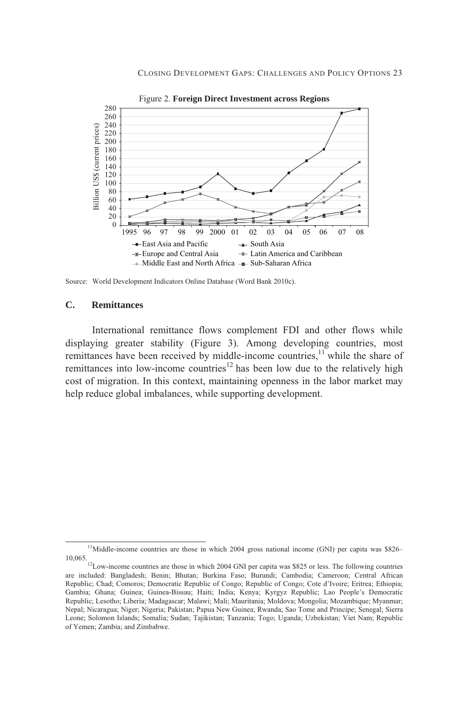

Figure 2. **Foreign Direct Investment across Regions** 

Source: World Development Indicators Online Database (Word Bank 2010c).

# **C. Remittances**

International remittance flows complement FDI and other flows while displaying greater stability (Figure 3). Among developing countries, most remittances have been received by middle-income countries, $<sup>11</sup>$  while the share of</sup> remittances into low-income countries<sup>12</sup> has been low due to the relatively high cost of migration. In this context, maintaining openness in the labor market may help reduce global imbalances, while supporting development.

<sup>&</sup>lt;sup>11</sup>Middle-income countries are those in which 2004 gross national income (GNI) per capita was \$826– 10,065. 12Low-income countries are those in which 2004 GNI per capita was \$825 or less. The following countries

are included: Bangladesh; Benin; Bhutan; Burkina Faso; Burundi; Cambodia; Cameroon; Central African Republic; Chad; Comoros; Democratic Republic of Congo; Republic of Congo; Cote d'Ivoire; Eritrea; Ethiopia; Gambia; Ghana; Guinea; Guinea-Bissau; Haiti; India; Kenya; Kyrgyz Republic; Lao People's Democratic Republic; Lesotho; Liberia; Madagascar; Malawi; Mali; Mauritania; Moldova; Mongolia; Mozambique; Myanmar; Nepal; Nicaragua; Niger; Nigeria; Pakistan; Papua New Guinea; Rwanda; Sao Tome and Principe; Senegal; Sierra Leone; Solomon Islands; Somalia; Sudan; Tajikistan; Tanzania; Togo; Uganda; Uzbekistan; Viet Nam; Republic of Yemen; Zambia; and Zimbabwe.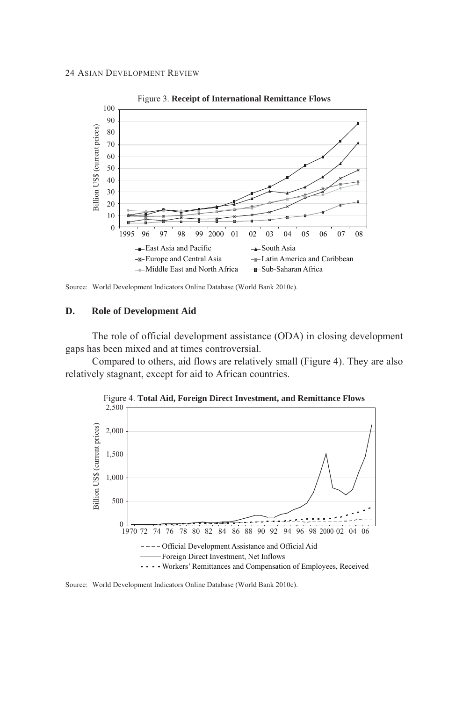

Figure 3. **Receipt of International Remittance Flows** 

Source: World Development Indicators Online Database (World Bank 2010c).

## **D. Role of Development Aid**

The role of official development assistance (ODA) in closing development gaps has been mixed and at times controversial.

Compared to others, aid flows are relatively small (Figure 4). They are also relatively stagnant, except for aid to African countries.



Figure 4. **Total Aid, Foreign Direct Investment, and Remittance Flows** 

Source: World Development Indicators Online Database (World Bank 2010c).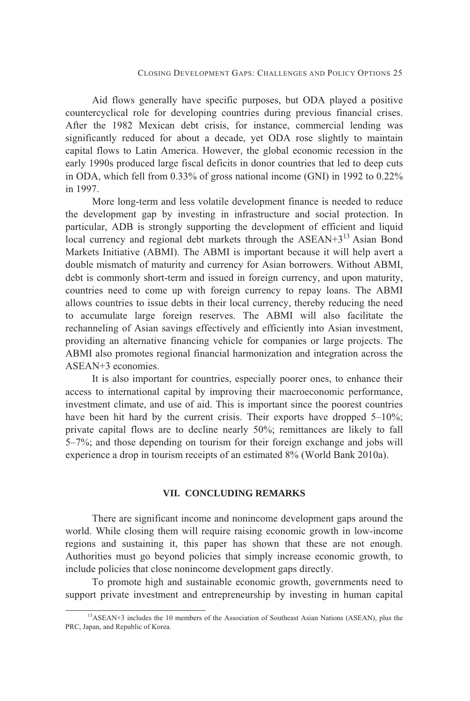Aid flows generally have specific purposes, but ODA played a positive countercyclical role for developing countries during previous financial crises. After the 1982 Mexican debt crisis, for instance, commercial lending was significantly reduced for about a decade, yet ODA rose slightly to maintain capital flows to Latin America. However, the global economic recession in the early 1990s produced large fiscal deficits in donor countries that led to deep cuts in ODA, which fell from 0.33% of gross national income (GNI) in 1992 to 0.22% in 1997.

More long-term and less volatile development finance is needed to reduce the development gap by investing in infrastructure and social protection. In particular, ADB is strongly supporting the development of efficient and liquid local currency and regional debt markets through the ASEAN+3<sup>13</sup> Asian Bond Markets Initiative (ABMI). The ABMI is important because it will help avert a double mismatch of maturity and currency for Asian borrowers. Without ABMI, debt is commonly short-term and issued in foreign currency, and upon maturity, countries need to come up with foreign currency to repay loans. The ABMI allows countries to issue debts in their local currency, thereby reducing the need to accumulate large foreign reserves. The ABMI will also facilitate the rechanneling of Asian savings effectively and efficiently into Asian investment, providing an alternative financing vehicle for companies or large projects. The ABMI also promotes regional financial harmonization and integration across the ASEAN+3 economies.

It is also important for countries, especially poorer ones, to enhance their access to international capital by improving their macroeconomic performance, investment climate, and use of aid. This is important since the poorest countries have been hit hard by the current crisis. Their exports have dropped 5–10%; private capital flows are to decline nearly 50%; remittances are likely to fall 5–7%; and those depending on tourism for their foreign exchange and jobs will experience a drop in tourism receipts of an estimated 8% (World Bank 2010a).

## **VII. CONCLUDING REMARKS**

There are significant income and nonincome development gaps around the world. While closing them will require raising economic growth in low-income regions and sustaining it, this paper has shown that these are not enough. Authorities must go beyond policies that simply increase economic growth, to include policies that close nonincome development gaps directly.

To promote high and sustainable economic growth, governments need to support private investment and entrepreneurship by investing in human capital

<sup>&</sup>lt;sup>13</sup>ASEAN+3 includes the 10 members of the Association of Southeast Asian Nations (ASEAN), plus the PRC, Japan, and Republic of Korea.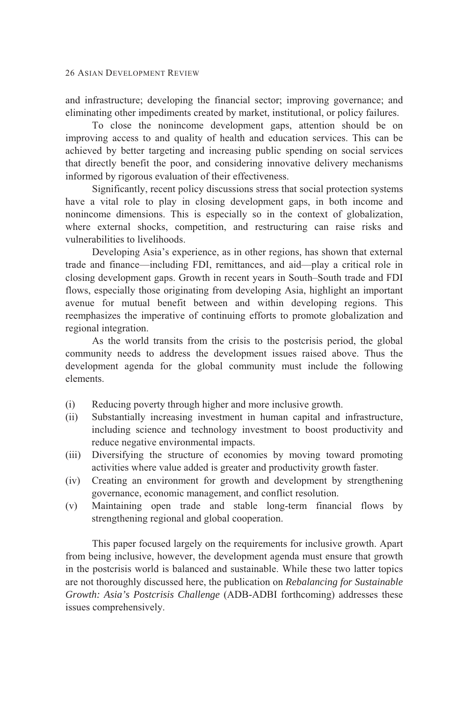and infrastructure; developing the financial sector; improving governance; and eliminating other impediments created by market, institutional, or policy failures.

To close the nonincome development gaps, attention should be on improving access to and quality of health and education services. This can be achieved by better targeting and increasing public spending on social services that directly benefit the poor, and considering innovative delivery mechanisms informed by rigorous evaluation of their effectiveness.

Significantly, recent policy discussions stress that social protection systems have a vital role to play in closing development gaps, in both income and nonincome dimensions. This is especially so in the context of globalization, where external shocks, competition, and restructuring can raise risks and vulnerabilities to livelihoods.

Developing Asia's experience, as in other regions, has shown that external trade and finance—including FDI, remittances, and aid—play a critical role in closing development gaps. Growth in recent years in South–South trade and FDI flows, especially those originating from developing Asia, highlight an important avenue for mutual benefit between and within developing regions. This reemphasizes the imperative of continuing efforts to promote globalization and regional integration.

As the world transits from the crisis to the postcrisis period, the global community needs to address the development issues raised above. Thus the development agenda for the global community must include the following elements.

- (i) Reducing poverty through higher and more inclusive growth.
- (ii) Substantially increasing investment in human capital and infrastructure, including science and technology investment to boost productivity and reduce negative environmental impacts.
- (iii) Diversifying the structure of economies by moving toward promoting activities where value added is greater and productivity growth faster.
- (iv) Creating an environment for growth and development by strengthening governance, economic management, and conflict resolution.
- (v) Maintaining open trade and stable long-term financial flows by strengthening regional and global cooperation.

This paper focused largely on the requirements for inclusive growth. Apart from being inclusive, however, the development agenda must ensure that growth in the postcrisis world is balanced and sustainable. While these two latter topics are not thoroughly discussed here, the publication on *Rebalancing for Sustainable Growth: Asia's Postcrisis Challenge* (ADB-ADBI forthcoming) addresses these issues comprehensively.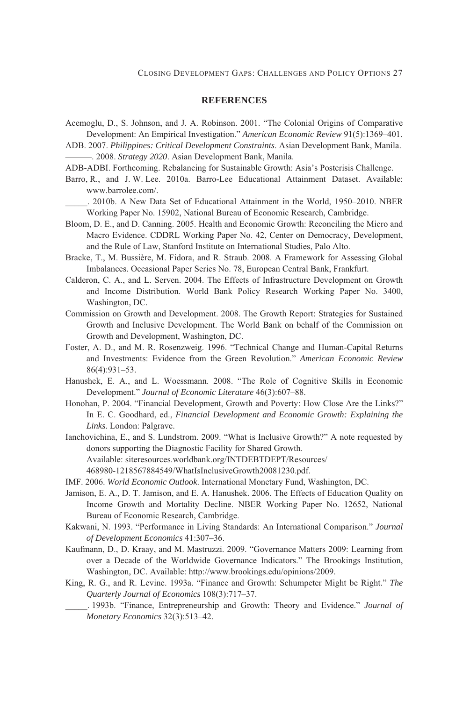#### CLOSING DEVELOPMENT GAPS: CHALLENGES AND POLICY OPTIONS 27

## **REFERENCES**

- Acemoglu, D., S. Johnson, and J. A. Robinson. 2001. "The Colonial Origins of Comparative Development: An Empirical Investigation." *American Economic Review* 91(5):1369–401.
- ADB. 2007. *Philippines: Critical Development Constraints*. Asian Development Bank, Manila. ———. 2008. *Strategy 2020*. Asian Development Bank, Manila.
- ADB-ADBI. Forthcoming. Rebalancing for Sustainable Growth: Asia's Postcrisis Challenge.
- Barro, R., and J. W. Lee. 2010a. Barro-Lee Educational Attainment Dataset. Available: www.barrolee.com/.
- \_\_\_\_\_. 2010b. A New Data Set of Educational Attainment in the World, 1950–2010. NBER Working Paper No. 15902, National Bureau of Economic Research, Cambridge.
- Bloom, D. E., and D. Canning. 2005. Health and Economic Growth: Reconciling the Micro and Macro Evidence. CDDRL Working Paper No. 42, Center on Democracy, Development, and the Rule of Law, Stanford Institute on International Studies, Palo Alto.
- Bracke, T., M. Bussière, M. Fidora, and R. Straub. 2008. A Framework for Assessing Global Imbalances. Occasional Paper Series No. 78, European Central Bank, Frankfurt.
- Calderon, C. A., and L. Serven. 2004. The Effects of Infrastructure Development on Growth and Income Distribution. World Bank Policy Research Working Paper No. 3400, Washington, DC.
- Commission on Growth and Development. 2008. The Growth Report: Strategies for Sustained Growth and Inclusive Development. The World Bank on behalf of the Commission on Growth and Development, Washington, DC.
- Foster, A. D., and M. R. Rosenzweig. 1996. "Technical Change and Human-Capital Returns and Investments: Evidence from the Green Revolution." *American Economic Review* 86(4):931–53.
- Hanushek, E. A., and L. Woessmann. 2008. "The Role of Cognitive Skills in Economic Development." *Journal of Economic Literature* 46(3):607–88.
- Honohan, P. 2004. "Financial Development, Growth and Poverty: How Close Are the Links?" In E. C. Goodhard, ed., *Financial Development and Economic Growth: Explaining the Links*. London: Palgrave.
- Ianchovichina, E., and S. Lundstrom. 2009. "What is Inclusive Growth?" A note requested by donors supporting the Diagnostic Facility for Shared Growth. Available: siteresources.worldbank.org/INTDEBTDEPT/Resources/

468980-1218567884549/WhatIsInclusiveGrowth20081230.pdf.

- IMF. 2006. *World Economic Outlook*. International Monetary Fund, Washington, DC.
- Jamison, E. A., D. T. Jamison, and E. A. Hanushek. 2006. The Effects of Education Quality on Income Growth and Mortality Decline. NBER Working Paper No. 12652, National Bureau of Economic Research, Cambridge.
- Kakwani, N. 1993. "Performance in Living Standards: An International Comparison." *Journal of Development Economics* 41:307–36.
- Kaufmann, D., D. Kraay, and M. Mastruzzi. 2009. "Governance Matters 2009: Learning from over a Decade of the Worldwide Governance Indicators." The Brookings Institution, Washington, DC. Available: http://www.brookings.edu/opinions/2009.
- King, R. G., and R. Levine. 1993a. "Finance and Growth: Schumpeter Might be Right." *The Quarterly Journal of Economics* 108(3):717–37.
	- \_\_\_\_\_. 1993b. "Finance, Entrepreneurship and Growth: Theory and Evidence." *Journal of Monetary Economics* 32(3):513–42.